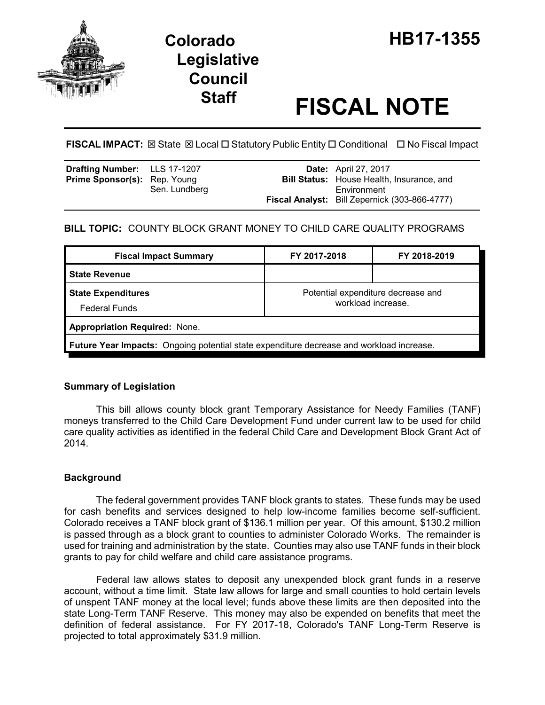

# **Legislative Council**

# **Staff FISCAL NOTE**

**FISCAL IMPACT:** ⊠ State ⊠ Local □ Statutory Public Entity □ Conditional □ No Fiscal Impact

| <b>Drafting Number:</b> LLS 17-1207<br><b>Prime Sponsor(s):</b> Rep. Young |               | <b>Date:</b> April 27, 2017<br><b>Bill Status:</b> House Health, Insurance, and |
|----------------------------------------------------------------------------|---------------|---------------------------------------------------------------------------------|
|                                                                            | Sen. Lundberg | Environment<br><b>Fiscal Analyst:</b> Bill Zepernick (303-866-4777)             |

# **BILL TOPIC:** COUNTY BLOCK GRANT MONEY TO CHILD CARE QUALITY PROGRAMS

| <b>Fiscal Impact Summary</b>                                                             | FY 2017-2018                                             | FY 2018-2019 |  |  |  |
|------------------------------------------------------------------------------------------|----------------------------------------------------------|--------------|--|--|--|
| <b>State Revenue</b>                                                                     |                                                          |              |  |  |  |
| <b>State Expenditures</b><br><b>Federal Funds</b>                                        | Potential expenditure decrease and<br>workload increase. |              |  |  |  |
| <b>Appropriation Required: None.</b>                                                     |                                                          |              |  |  |  |
| Future Year Impacts: Ongoing potential state expenditure decrease and workload increase. |                                                          |              |  |  |  |

## **Summary of Legislation**

This bill allows county block grant Temporary Assistance for Needy Families (TANF) moneys transferred to the Child Care Development Fund under current law to be used for child care quality activities as identified in the federal Child Care and Development Block Grant Act of 2014.

## **Background**

The federal government provides TANF block grants to states. These funds may be used for cash benefits and services designed to help low-income families become self-sufficient. Colorado receives a TANF block grant of \$136.1 million per year. Of this amount, \$130.2 million is passed through as a block grant to counties to administer Colorado Works. The remainder is used for training and administration by the state. Counties may also use TANF funds in their block grants to pay for child welfare and child care assistance programs.

Federal law allows states to deposit any unexpended block grant funds in a reserve account, without a time limit. State law allows for large and small counties to hold certain levels of unspent TANF money at the local level; funds above these limits are then deposited into the state Long-Term TANF Reserve. This money may also be expended on benefits that meet the definition of federal assistance. For FY 2017-18, Colorado's TANF Long-Term Reserve is projected to total approximately \$31.9 million.